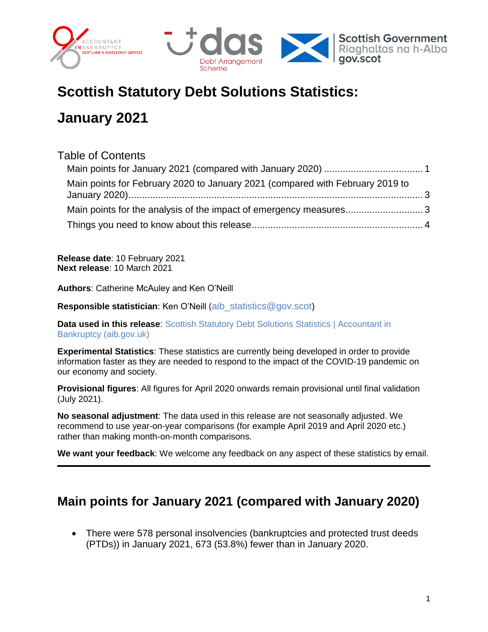



# **Scottish Statutory Debt Solutions Statistics:**

# **January 2021**

#### Table of Contents

| Main points for February 2020 to January 2021 (compared with February 2019 to |  |
|-------------------------------------------------------------------------------|--|
|                                                                               |  |
|                                                                               |  |

**Release date**: 10 February 2021 **Next release**: 10 March 2021

**Authors**: Catherine McAuley and Ken O'Neill

**Responsible statistician**: Ken O'Neill ([aib\\_statistics@gov.scot](mailto:aib_statistics@gov.scot))

**Data used in this release:** Scottish Statutory Debt Solutions Statistics | Accountant in [Bankruptcy \(aib.gov.uk\)](https://www.aib.gov.uk/scottish-statutory-debt-solutions-statistics)

**Experimental Statistics**: These statistics are currently being developed in order to provide information faster as they are needed to respond to the impact of the COVID-19 pandemic on our economy and society.

**Provisional figures**: All figures for April 2020 onwards remain provisional until final validation (July 2021).

**No seasonal adjustment**: The data used in this release are not seasonally adjusted. We recommend to use year-on-year comparisons (for example April 2019 and April 2020 etc.) rather than making month-on-month comparisons.

**We want your feedback**: We welcome any feedback on any aspect of these statistics by email.

# <span id="page-0-0"></span>**Main points for January 2021 (compared with January 2020)**

 There were 578 personal insolvencies (bankruptcies and protected trust deeds (PTDs)) in January 2021, 673 (53.8%) fewer than in January 2020.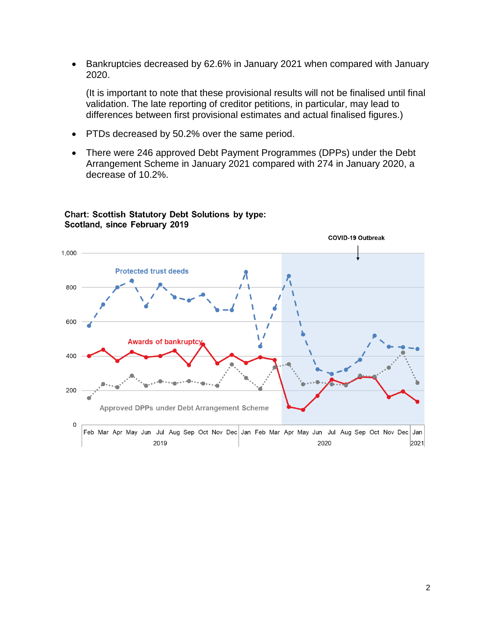Bankruptcies decreased by 62.6% in January 2021 when compared with January 2020.

(It is important to note that these provisional results will not be finalised until final validation. The late reporting of creditor petitions, in particular, may lead to differences between first provisional estimates and actual finalised figures.)

- PTDs decreased by 50.2% over the same period.
- There were 246 approved Debt Payment Programmes (DPPs) under the Debt Arrangement Scheme in January 2021 compared with 274 in January 2020, a decrease of 10.2%.



#### **Chart: Scottish Statutory Debt Solutions by type:** Scotland, since February 2019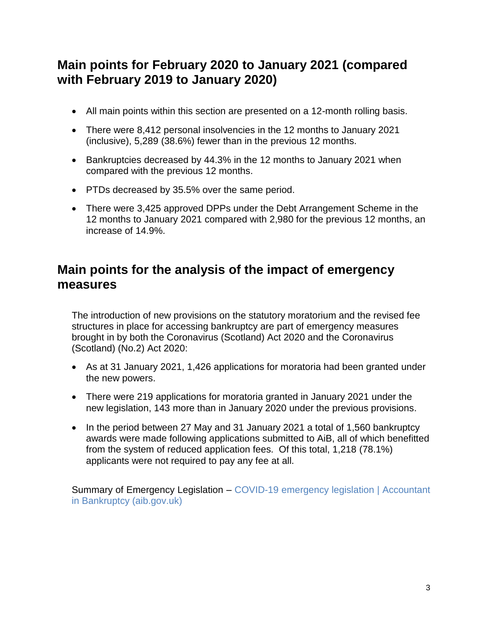# <span id="page-2-0"></span>**Main points for February 2020 to January 2021 (compared with February 2019 to January 2020)**

- All main points within this section are presented on a 12-month rolling basis.
- There were 8,412 personal insolvencies in the 12 months to January 2021 (inclusive), 5,289 (38.6%) fewer than in the previous 12 months.
- Bankruptcies decreased by 44.3% in the 12 months to January 2021 when compared with the previous 12 months.
- PTDs decreased by 35.5% over the same period.
- There were 3,425 approved DPPs under the Debt Arrangement Scheme in the 12 months to January 2021 compared with 2,980 for the previous 12 months, an increase of 14.9%.

## <span id="page-2-1"></span>**Main points for the analysis of the impact of emergency measures**

The introduction of new provisions on the statutory moratorium and the revised fee structures in place for accessing bankruptcy are part of emergency measures brought in by both the Coronavirus (Scotland) Act 2020 and the Coronavirus (Scotland) (No.2) Act 2020:

- As at 31 January 2021, 1,426 applications for moratoria had been granted under the new powers.
- There were 219 applications for moratoria granted in January 2021 under the new legislation, 143 more than in January 2020 under the previous provisions.
- In the period between 27 May and 31 January 2021 a total of 1,560 bankruptcy awards were made following applications submitted to AiB, all of which benefitted from the system of reduced application fees. Of this total, 1,218 (78.1%) applicants were not required to pay any fee at all.

Summary of Emergency Legislation – [COVID-19 emergency legislation | Accountant](https://www.aib.gov.uk/covid-19-emergency-legislation)  [in Bankruptcy \(aib.gov.uk\)](https://www.aib.gov.uk/covid-19-emergency-legislation)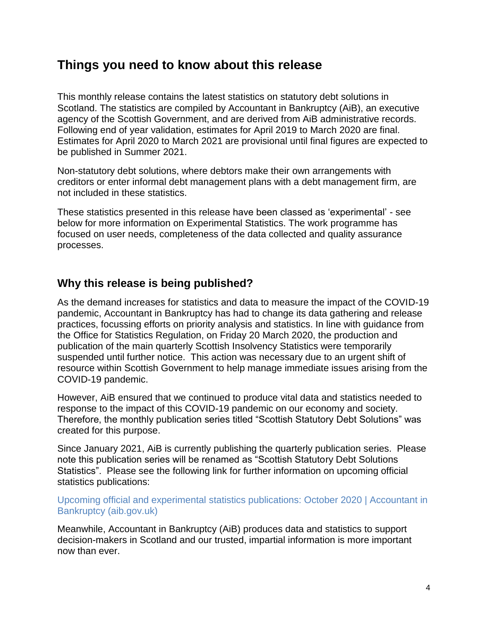## <span id="page-3-0"></span>**Things you need to know about this release**

This monthly release contains the latest statistics on statutory debt solutions in Scotland. The statistics are compiled by Accountant in Bankruptcy (AiB), an executive agency of the Scottish Government, and are derived from AiB administrative records. Following end of year validation, estimates for April 2019 to March 2020 are final. Estimates for April 2020 to March 2021 are provisional until final figures are expected to be published in Summer 2021.

Non-statutory debt solutions, where debtors make their own arrangements with creditors or enter informal debt management plans with a debt management firm, are not included in these statistics.

These statistics presented in this release have been classed as 'experimental' - see below for more information on Experimental Statistics. The work programme has focused on user needs, completeness of the data collected and quality assurance processes.

#### **Why this release is being published?**

As the demand increases for statistics and data to measure the impact of the COVID-19 pandemic, Accountant in Bankruptcy has had to change its data gathering and release practices, focussing efforts on priority analysis and statistics. In line with guidance from the Office for Statistics Regulation, on Friday 20 March 2020, the production and publication of the main quarterly Scottish Insolvency Statistics were temporarily suspended until further notice. This action was necessary due to an urgent shift of resource within Scottish Government to help manage immediate issues arising from the COVID-19 pandemic.

However, AiB ensured that we continued to produce vital data and statistics needed to response to the impact of this COVID-19 pandemic on our economy and society. Therefore, the monthly publication series titled "Scottish Statutory Debt Solutions" was created for this purpose.

Since January 2021, AiB is currently publishing the quarterly publication series. Please note this publication series will be renamed as "Scottish Statutory Debt Solutions Statistics". Please see the following link for further information on upcoming official statistics publications:

[Upcoming official and experimental statistics publications: October 2020 | Accountant in](https://www.aib.gov.uk/news/releases/20202020/1010/upcoming-official-and-experimental-statistics-publications-october-2020)  [Bankruptcy \(aib.gov.uk\)](https://www.aib.gov.uk/news/releases/20202020/1010/upcoming-official-and-experimental-statistics-publications-october-2020)

Meanwhile, Accountant in Bankruptcy (AiB) produces data and statistics to support decision-makers in Scotland and our trusted, impartial information is more important now than ever.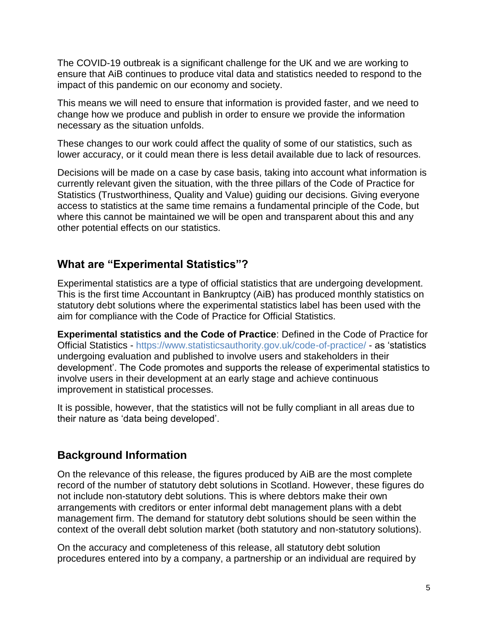The COVID-19 outbreak is a significant challenge for the UK and we are working to ensure that AiB continues to produce vital data and statistics needed to respond to the impact of this pandemic on our economy and society.

This means we will need to ensure that information is provided faster, and we need to change how we produce and publish in order to ensure we provide the information necessary as the situation unfolds.

These changes to our work could affect the quality of some of our statistics, such as lower accuracy, or it could mean there is less detail available due to lack of resources.

Decisions will be made on a case by case basis, taking into account what information is currently relevant given the situation, with the three pillars of the Code of Practice for Statistics (Trustworthiness, Quality and Value) guiding our decisions. Giving everyone access to statistics at the same time remains a fundamental principle of the Code, but where this cannot be maintained we will be open and transparent about this and any other potential effects on our statistics.

#### **What are "Experimental Statistics"?**

Experimental statistics are a type of official statistics that are undergoing development. This is the first time Accountant in Bankruptcy (AiB) has produced monthly statistics on statutory debt solutions where the experimental statistics label has been used with the aim for compliance with the Code of Practice for Official Statistics.

**Experimental statistics and the Code of Practice**: Defined in the Code of Practice for Official Statistics - <https://www.statisticsauthority.gov.uk/code-of-practice/> - as 'statistics undergoing evaluation and published to involve users and stakeholders in their development'. The Code promotes and supports the release of experimental statistics to involve users in their development at an early stage and achieve continuous improvement in statistical processes.

It is possible, however, that the statistics will not be fully compliant in all areas due to their nature as 'data being developed'.

### **Background Information**

On the relevance of this release, the figures produced by AiB are the most complete record of the number of statutory debt solutions in Scotland. However, these figures do not include non-statutory debt solutions. This is where debtors make their own arrangements with creditors or enter informal debt management plans with a debt management firm. The demand for statutory debt solutions should be seen within the context of the overall debt solution market (both statutory and non-statutory solutions).

On the accuracy and completeness of this release, all statutory debt solution procedures entered into by a company, a partnership or an individual are required by